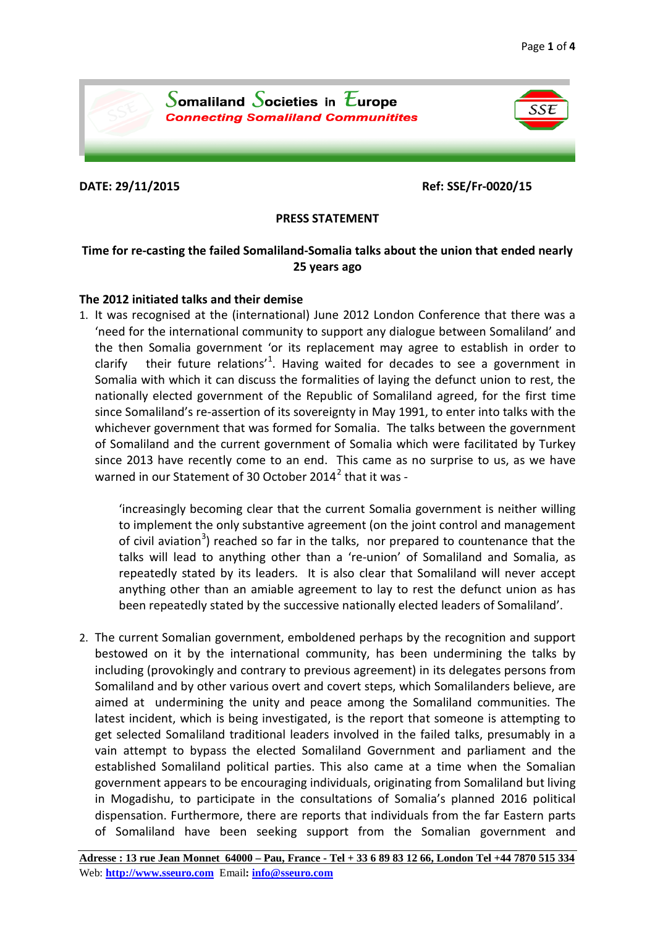

**DATE: 29/11/2015 Ref: SSE/Fr-0020/15**

## **PRESS STATEMENT**

# **Time for re-casting the failed Somaliland-Somalia talks about the union that ended nearly 25 years ago**

## **The 2012 initiated talks and their demise**

1. It was recognised at the (international) June 2012 London Conference that there was a 'need for the international community to support any dialogue between Somaliland' and the then Somalia government 'or its replacement may agree to establish in order to clarify their future relations<sup>'[1](#page-3-0)</sup>. Having waited for decades to see a government in Somalia with which it can discuss the formalities of laying the defunct union to rest, the nationally elected government of the Republic of Somaliland agreed, for the first time since Somaliland's re-assertion of its sovereignty in May 1991, to enter into talks with the whichever government that was formed for Somalia. The talks between the government of Somaliland and the current government of Somalia which were facilitated by Turkey since 2013 have recently come to an end. This came as no surprise to us, as we have warned in our Statement of 30 October [2](#page-3-1)014 $^2$  that it was -

'increasingly becoming clear that the current Somalia government is neither willing to implement the only substantive agreement (on the joint control and management of civil aviation<sup>[3](#page-3-2)</sup>) reached so far in the talks, nor prepared to countenance that the talks will lead to anything other than a 're-union' of Somaliland and Somalia, as repeatedly stated by its leaders. It is also clear that Somaliland will never accept anything other than an amiable agreement to lay to rest the defunct union as has been repeatedly stated by the successive nationally elected leaders of Somaliland'.

2. The current Somalian government, emboldened perhaps by the recognition and support bestowed on it by the international community, has been undermining the talks by including (provokingly and contrary to previous agreement) in its delegates persons from Somaliland and by other various overt and covert steps, which Somalilanders believe, are aimed at undermining the unity and peace among the Somaliland communities. The latest incident, which is being investigated, is the report that someone is attempting to get selected Somaliland traditional leaders involved in the failed talks, presumably in a vain attempt to bypass the elected Somaliland Government and parliament and the established Somaliland political parties. This also came at a time when the Somalian government appears to be encouraging individuals, originating from Somaliland but living in Mogadishu, to participate in the consultations of Somalia's planned 2016 political dispensation. Furthermore, there are reports that individuals from the far Eastern parts of Somaliland have been seeking support from the Somalian government and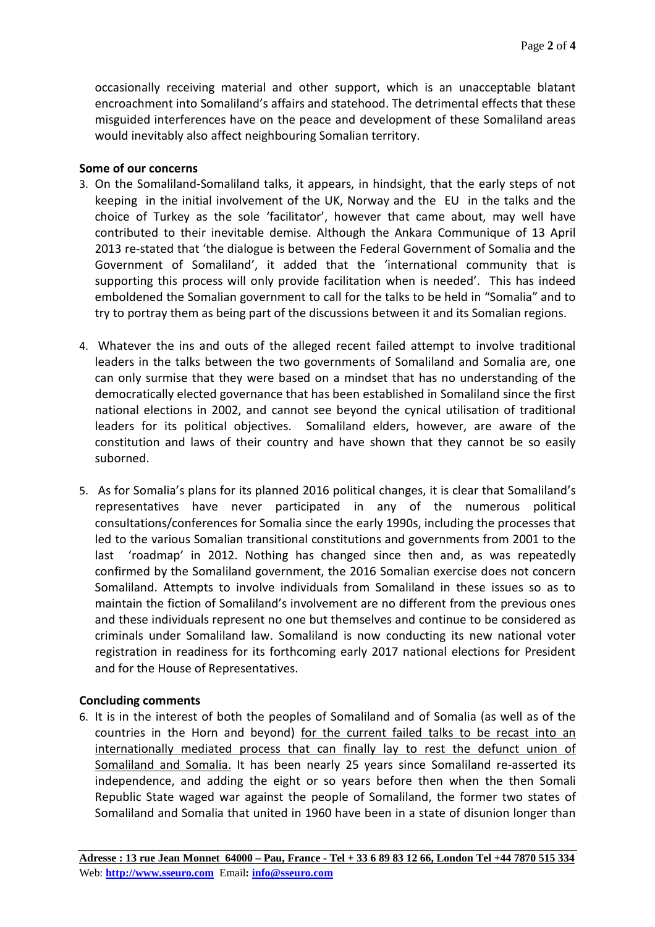occasionally receiving material and other support, which is an unacceptable blatant encroachment into Somaliland's affairs and statehood. The detrimental effects that these misguided interferences have on the peace and development of these Somaliland areas would inevitably also affect neighbouring Somalian territory.

### **Some of our concerns**

- 3. On the Somaliland-Somaliland talks, it appears, in hindsight, that the early steps of not keeping in the initial involvement of the UK, Norway and the EU in the talks and the choice of Turkey as the sole 'facilitator', however that came about, may well have contributed to their inevitable demise. Although the Ankara Communique of 13 April 2013 re-stated that 'the dialogue is between the Federal Government of Somalia and the Government of Somaliland', it added that the 'international community that is supporting this process will only provide facilitation when is needed'. This has indeed emboldened the Somalian government to call for the talks to be held in "Somalia" and to try to portray them as being part of the discussions between it and its Somalian regions.
- 4. Whatever the ins and outs of the alleged recent failed attempt to involve traditional leaders in the talks between the two governments of Somaliland and Somalia are, one can only surmise that they were based on a mindset that has no understanding of the democratically elected governance that has been established in Somaliland since the first national elections in 2002, and cannot see beyond the cynical utilisation of traditional leaders for its political objectives. Somaliland elders, however, are aware of the constitution and laws of their country and have shown that they cannot be so easily suborned.
- 5. As for Somalia's plans for its planned 2016 political changes, it is clear that Somaliland's representatives have never participated in any of the numerous political consultations/conferences for Somalia since the early 1990s, including the processes that led to the various Somalian transitional constitutions and governments from 2001 to the last 'roadmap' in 2012. Nothing has changed since then and, as was repeatedly confirmed by the Somaliland government, the 2016 Somalian exercise does not concern Somaliland. Attempts to involve individuals from Somaliland in these issues so as to maintain the fiction of Somaliland's involvement are no different from the previous ones and these individuals represent no one but themselves and continue to be considered as criminals under Somaliland law. Somaliland is now conducting its new national voter registration in readiness for its forthcoming early 2017 national elections for President and for the House of Representatives.

#### **Concluding comments**

6. It is in the interest of both the peoples of Somaliland and of Somalia (as well as of the countries in the Horn and beyond) for the current failed talks to be recast into an internationally mediated process that can finally lay to rest the defunct union of Somaliland and Somalia. It has been nearly 25 years since Somaliland re-asserted its independence, and adding the eight or so years before then when the then Somali Republic State waged war against the people of Somaliland, the former two states of Somaliland and Somalia that united in 1960 have been in a state of disunion longer than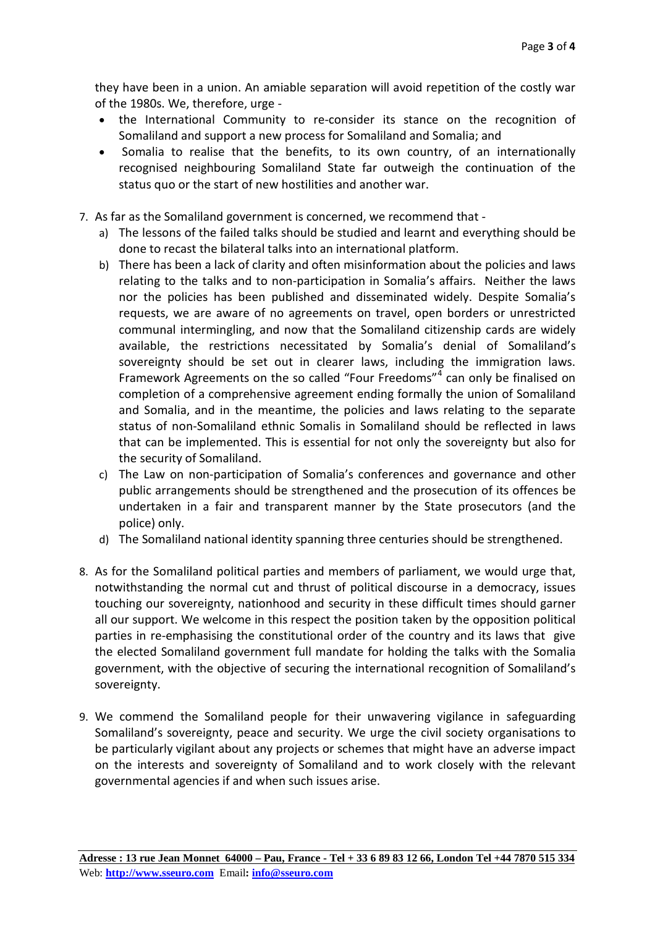they have been in a union. An amiable separation will avoid repetition of the costly war of the 1980s. We, therefore, urge -

- the International Community to re-consider its stance on the recognition of Somaliland and support a new process for Somaliland and Somalia; and
- Somalia to realise that the benefits, to its own country, of an internationally recognised neighbouring Somaliland State far outweigh the continuation of the status quo or the start of new hostilities and another war.
- 7. As far as the Somaliland government is concerned, we recommend that
	- a) The lessons of the failed talks should be studied and learnt and everything should be done to recast the bilateral talks into an international platform.
	- b) There has been a lack of clarity and often misinformation about the policies and laws relating to the talks and to non-participation in Somalia's affairs. Neither the laws nor the policies has been published and disseminated widely. Despite Somalia's requests, we are aware of no agreements on travel, open borders or unrestricted communal intermingling, and now that the Somaliland citizenship cards are widely available, the restrictions necessitated by Somalia's denial of Somaliland's sovereignty should be set out in clearer laws, including the immigration laws. Framework Agreements on the so called "Four Freedoms"<sup>[4](#page-3-3)</sup> can only be finalised on completion of a comprehensive agreement ending formally the union of Somaliland and Somalia, and in the meantime, the policies and laws relating to the separate status of non-Somaliland ethnic Somalis in Somaliland should be reflected in laws that can be implemented. This is essential for not only the sovereignty but also for the security of Somaliland.
	- c) The Law on non-participation of Somalia's conferences and governance and other public arrangements should be strengthened and the prosecution of its offences be undertaken in a fair and transparent manner by the State prosecutors (and the police) only.
	- d) The Somaliland national identity spanning three centuries should be strengthened.
- 8. As for the Somaliland political parties and members of parliament, we would urge that, notwithstanding the normal cut and thrust of political discourse in a democracy, issues touching our sovereignty, nationhood and security in these difficult times should garner all our support. We welcome in this respect the position taken by the opposition political parties in re-emphasising the constitutional order of the country and its laws that give the elected Somaliland government full mandate for holding the talks with the Somalia government, with the objective of securing the international recognition of Somaliland's sovereignty.
- 9. We commend the Somaliland people for their unwavering vigilance in safeguarding Somaliland's sovereignty, peace and security. We urge the civil society organisations to be particularly vigilant about any projects or schemes that might have an adverse impact on the interests and sovereignty of Somaliland and to work closely with the relevant governmental agencies if and when such issues arise.